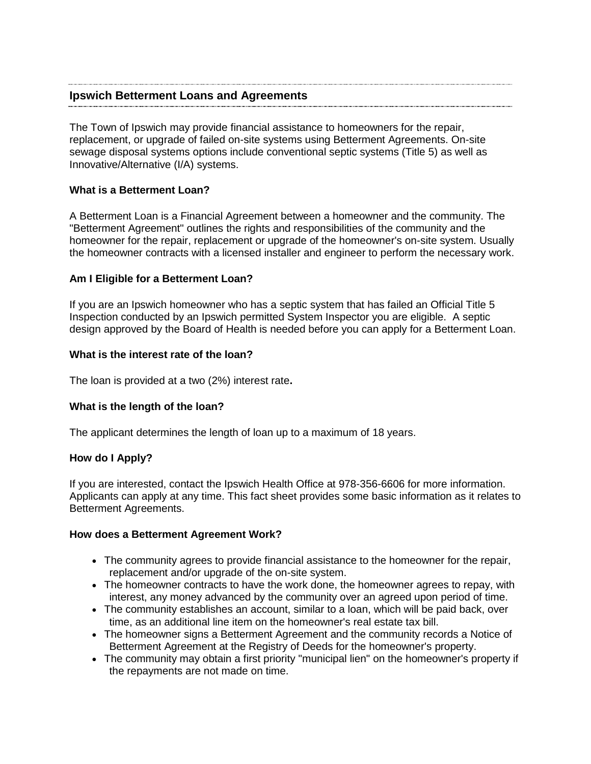### **Ipswich Betterment Loans and Agreements**

The Town of Ipswich may provide financial assistance to homeowners for the repair, replacement, or upgrade of failed on-site systems using Betterment Agreements. On-site sewage disposal systems options include conventional septic systems (Title 5) as well as Innovative/Alternative (I/A) systems.

#### **What is a Betterment Loan?**

A Betterment Loan is a Financial Agreement between a homeowner and the community. The "Betterment Agreement" outlines the rights and responsibilities of the community and the homeowner for the repair, replacement or upgrade of the homeowner's on-site system. Usually the homeowner contracts with a licensed installer and engineer to perform the necessary work.

#### **Am I Eligible for a Betterment Loan?**

If you are an Ipswich homeowner who has a septic system that has failed an Official Title 5 Inspection conducted by an Ipswich permitted System Inspector you are eligible. A septic design approved by the Board of Health is needed before you can apply for a Betterment Loan.

#### **What is the interest rate of the loan?**

The loan is provided at a two (2%) interest rate**.**

#### **What is the length of the loan?**

The applicant determines the length of loan up to a maximum of 18 years.

#### **How do I Apply?**

If you are interested, contact [the Ipswich Health Office at 978-356-6606](http://www.mhoa.com/BusinessDirectoryii.aspx) for more information. Applicants can apply at any time. This fact sheet provides some basic information as it relates to Betterment Agreements.

#### **How does a Betterment Agreement Work?**

- The community agrees to provide financial assistance to the homeowner for the repair, replacement and/or upgrade of the on-site system.
- The homeowner contracts to have the work done, the homeowner agrees to repay, with interest, any money advanced by the community over an agreed upon period of time.
- The community establishes an account, similar to a loan, which will be paid back, over time, as an additional line item on the homeowner's real estate tax bill.
- The homeowner signs a Betterment Agreement and the community records a Notice of Betterment Agreement at the Registry of Deeds for the homeowner's property.
- The community may obtain a first priority "municipal lien" on the homeowner's property if the repayments are not made on time.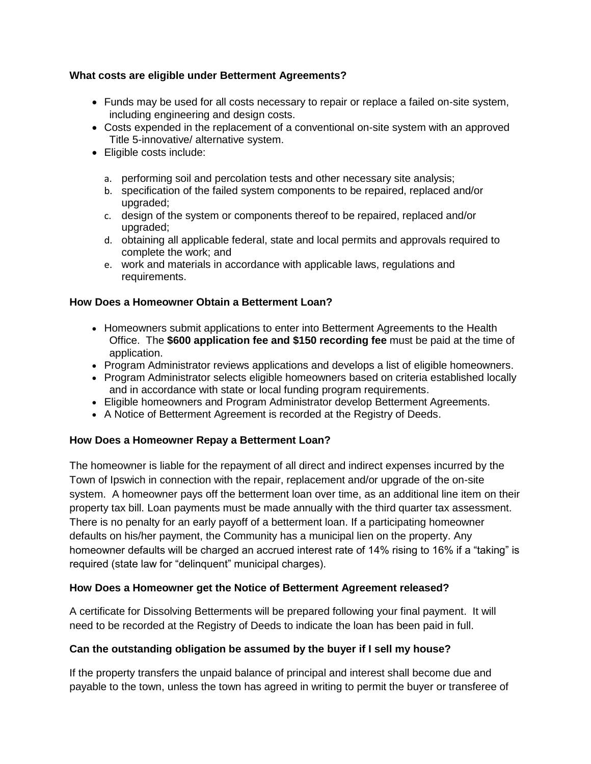# **What costs are eligible under Betterment Agreements?**

- Funds may be used for all costs necessary to repair or replace a failed on-site system, including engineering and design costs.
- Costs expended in the replacement of a conventional on-site system with an approved Title 5-innovative/ alternative system.
- Eligible costs include:
	- a. performing soil and percolation tests and other necessary site analysis;
	- b. specification of the failed system components to be repaired, replaced and/or upgraded;
	- c. design of the system or components thereof to be repaired, replaced and/or upgraded;
	- d. obtaining all applicable federal, state and local permits and approvals required to complete the work; and
	- e. work and materials in accordance with applicable laws, regulations and requirements.

# **How Does a Homeowner Obtain a Betterment Loan?**

- Homeowners submit applications to enter into Betterment Agreements to the Health Office. The **\$600 application fee and \$150 recording fee** must be paid at the time of application.
- Program Administrator reviews applications and develops a list of eligible homeowners.
- Program Administrator selects eligible homeowners based on criteria established locally and in accordance with state or local funding program requirements.
- Eligible homeowners and Program Administrator develop Betterment Agreements.
- A Notice of Betterment Agreement is recorded at the Registry of Deeds.

# **How Does a Homeowner Repay a Betterment Loan?**

The homeowner is liable for the repayment of all direct and indirect expenses incurred by the Town of Ipswich in connection with the repair, replacement and/or upgrade of the on-site system. A homeowner pays off the betterment loan over time, as an additional line item on their property tax bill. Loan payments must be made annually with the third quarter tax assessment. There is no penalty for an early payoff of a betterment loan. If a participating homeowner defaults on his/her payment, the Community has a municipal lien on the property. Any homeowner defaults will be charged an accrued interest rate of 14% rising to 16% if a "taking" is required (state law for "delinquent" municipal charges).

## **How Does a Homeowner get the Notice of Betterment Agreement released?**

A certificate for Dissolving Betterments will be prepared following your final payment. It will need to be recorded at the Registry of Deeds to indicate the loan has been paid in full.

## **Can the outstanding obligation be assumed by the buyer if I sell my house?**

If the property transfers the unpaid balance of principal and interest shall become due and payable to the town, unless the town has agreed in writing to permit the buyer or transferee of